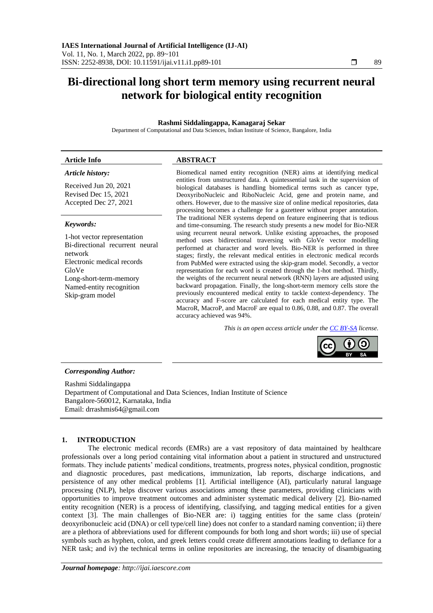# **Bi-directional long short term memory using recurrent neural network for biological entity recognition**

# **Rashmi Siddalingappa, Kanagaraj Sekar**

Department of Computational and Data Sciences, Indian Institute of Science, Bangalore, India

## **Article Info ABSTRACT**

# *Article history:*

Received Jun 20, 2021 Revised Dec 15, 2021 Accepted Dec 27, 2021

#### *Keywords:*

1-hot vector representation Bi-directional recurrent neural network Electronic medical records GloVe Long-short-term-memory Named-entity recognition Skip-gram model

Biomedical named entity recognition (NER) aims at identifying medical entities from unstructured data. A quintessential task in the supervision of biological databases is handling biomedical terms such as cancer type, DeoxyriboNucleic and RiboNucleic Acid, gene and protein name, and others. However, due to the massive size of online medical repositories, data processing becomes a challenge for a gazetteer without proper annotation. The traditional NER systems depend on feature engineering that is tedious and time-consuming. The research study presents a new model for Bio-NER using recurrent neural network. Unlike existing approaches, the proposed method uses bidirectional traversing with GloVe vector modelling performed at character and word levels. Bio-NER is performed in three stages; firstly, the relevant medical entities in electronic medical records from PubMed were extracted using the skip-gram model. Secondly, a vector representation for each word is created through the 1-hot method. Thirdly, the weights of the recurrent neural network (RNN) layers are adjusted using backward propagation. Finally, the long-short-term memory cells store the previously encountered medical entity to tackle context-dependency. The accuracy and F-score are calculated for each medical entity type. The MacroR, MacroP, and MacroF are equal to 0.86, 0.88, and 0.87. The overall accuracy achieved was 94%.

*This is an open access article under th[e CC BY-SA](https://creativecommons.org/licenses/by-sa/4.0/) license.*



# *Corresponding Author:*

Rashmi Siddalingappa Department of Computational and Data Sciences, Indian Institute of Science Bangalore-560012, Karnataka, India Email: drrashmis64@gmail.com

# **1. INTRODUCTION**

The electronic medical records (EMRs) are a vast repository of data maintained by healthcare professionals over a long period containing vital information about a patient in structured and unstructured formats. They include patients' medical conditions, treatments, progress notes, physical condition, prognostic and diagnostic procedures, past medications, immunization, lab reports, discharge indications, and persistence of any other medical problems [1]. Artificial intelligence (AI), particularly natural language processing (NLP), helps discover various associations among these parameters, providing clinicians with opportunities to improve treatment outcomes and administer systematic medical delivery [2]. Bio-named entity recognition (NER) is a process of identifying, classifying, and tagging medical entities for a given context [3]. The main challenges of Bio-NER are: i) tagging entities for the same class (protein/ deoxyribonucleic acid (DNA) or cell type/cell line) does not confer to a standard naming convention; ii) there are a plethora of abbreviations used for different compounds for both long and short words; iii) use of special symbols such as hyphen, colon, and greek letters could create different annotations leading to defiance for a NER task; and iv) the technical terms in online repositories are increasing, the tenacity of disambiguating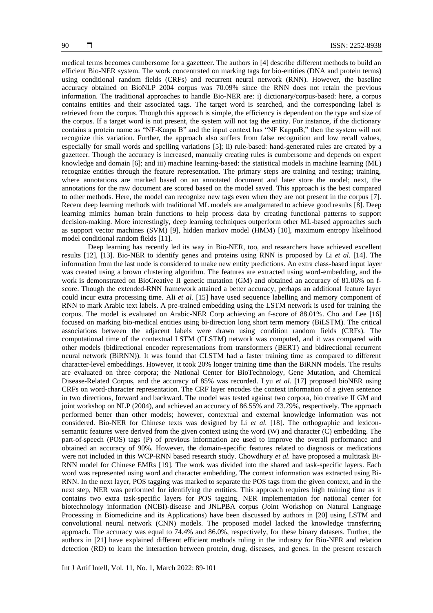medical terms becomes cumbersome for a gazetteer. The authors in [4] describe different methods to build an efficient Bio-NER system. The work concentrated on marking tags for bio-entities (DNA and protein terms) using conditional random fields (CRFs) and recurrent neural network (RNN). However, the baseline accuracy obtained on BioNLP 2004 corpus was 70.09% since the RNN does not retain the previous information. The traditional approaches to handle Bio-NER are: i) dictionary/corpus-based: here, a corpus contains entities and their associated tags. The target word is searched, and the corresponding label is retrieved from the corpus. Though this approach is simple, the efficiency is dependent on the type and size of the corpus. If a target word is not present, the system will not tag the entity. For instance, if the dictionary contains a protein name as "NF-Kaapa B" and the input context has "NF KappaB," then the system will not recognize this variation. Further, the approach also suffers from false recognition and low recall values, especially for small words and spelling variations [5]; ii) rule-based: hand-generated rules are created by a gazetteer. Though the accuracy is increased, manually creating rules is cumbersome and depends on expert knowledge and domain [6]; and iii) machine learning-based: the statistical models in machine learning (ML) recognize entities through the feature representation. The primary steps are training and testing; training, where annotations are marked based on an annotated document and later store the model; next, the annotations for the raw document are scored based on the model saved. This approach is the best compared to other methods. Here, the model can recognize new tags even when they are not present in the corpus [7]. Recent deep learning methods with traditional ML models are amalgamated to achieve good results [8]. Deep learning mimics human brain functions to help process data by creating functional patterns to support decision-making. More interestingly, deep learning techniques outperform other ML-based approaches such as support vector machines (SVM) [9], hidden markov model (HMM) [10], maximum entropy likelihood model conditional random fields [11].

Deep learning has recently led its way in Bio-NER, too, and researchers have achieved excellent results [12], [13]. Bio-NER to identify genes and proteins using RNN is proposed by Li *et al.* [14]. The information from the last node is considered to make new entity predictions. An extra class-based input layer was created using a brown clustering algorithm. The features are extracted using word-embedding, and the work is demonstrated on BioCreative II genetic mutation (GM) and obtained an accuracy of 81.06% on fscore. Though the extended-RNN framework attained a better accuracy, perhaps an additional feature layer could incur extra processing time. Ali *et al.* [15] have used sequence labelling and memory component of RNN to mark Arabic text labels. A pre-trained embedding using the LSTM network is used for training the corpus. The model is evaluated on Arabic-NER Corp achieving an f-score of 88.01%. Cho and Lee [16] focused on marking bio-medical entities using bi-direction long short term memory (BiLSTM). The critical associations between the adjacent labels were drawn using condition random fields (CRFs). The computational time of the contextual LSTM (CLSTM) network was computed, and it was compared with other models (bidirectional encoder representations from transformers (BERT) and bidirectional recurrent neural network (BiRNN)). It was found that CLSTM had a faster training time as compared to different character-level embeddings. However, it took 20% longer training time than the BiRNN models. The results are evaluated on three corpora; the National Center for BioTechnology, Gene Mutation, and Chemical Disease-Related Corpus, and the accuracy of 85% was recorded. Lyu *et al.* [17] proposed bioNER using CRFs on word-character representation. The CRF layer encodes the context information of a given sentence in two directions, forward and backward. The model was tested against two corpora, bio creative II GM and joint workshop on NLP (2004), and achieved an accuracy of 86.55% and 73.79%, respectively. The approach performed better than other models; however, contextual and external knowledge information was not considered. Bio-NER for Chinese texts was designed by Li *et al.* [18]. The orthographic and lexiconsemantic features were derived from the given context using the word (W) and character (C) embedding. The part-of-speech (POS) tags (P) of previous information are used to improve the overall performance and obtained an accuracy of 90%. However, the domain-specific features related to diagnosis or medications were not included in this WCP-RNN based research study. Chowdhury *et al.* have proposed a multitask Bi-RNN model for Chinese EMRs [19]. The work was divided into the shared and task-specific layers. Each word was represented using word and character embedding. The context information was extracted using Bi-RNN. In the next layer, POS tagging was marked to separate the POS tags from the given context, and in the next step, NER was performed for identifying the entities. This approach requires high training time as it contains two extra task-specific layers for POS tagging. NER implementation for national center for biotechnology information (NCBI)-disease and JNLPBA corpus (Joint Workshop on Natural Language Processing in Biomedicine and its Applications) have been discussed by authors in [20] using LSTM and convolutional neural network (CNN) models. The proposed model lacked the knowledge transferring approach. The accuracy was equal to 74.4% and 86.0%, respectively, for these binary datasets. Further, the authors in [21] have explained different efficient methods ruling in the industry for Bio-NER and relation detection (RD) to learn the interaction between protein, drug, diseases, and genes. In the present research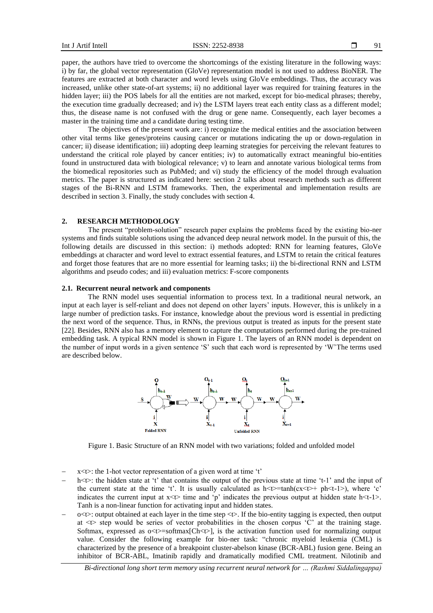paper, the authors have tried to overcome the shortcomings of the existing literature in the following ways: i) by far, the global vector representation (GloVe) representation model is not used to address BioNER. The features are extracted at both character and word levels using GloVe embeddings. Thus, the accuracy was increased, unlike other state-of-art systems; ii) no additional layer was required for training features in the hidden layer; iii) the POS labels for all the entities are not marked, except for bio-medical phrases; thereby, the execution time gradually decreased; and iv) the LSTM layers treat each entity class as a different model; thus, the disease name is not confused with the drug or gene name. Consequently, each layer becomes a master in the training time and a candidate during testing time.

The objectives of the present work are: i) recognize the medical entities and the association between other vital terms like genes/proteins causing cancer or mutations indicating the up or down-regulation in cancer; ii) disease identification; iii) adopting deep learning strategies for perceiving the relevant features to understand the critical role played by cancer entities; iv) to automatically extract meaningful bio-entities found in unstructured data with biological relevance; v) to learn and annotate various biological terms from the biomedical repositories such as PubMed; and vi) study the efficiency of the model through evaluation metrics. The paper is structured as indicated here: section 2 talks about research methods such as different stages of the Bi-RNN and LSTM frameworks. Then, the experimental and implementation results are described in section 3. Finally, the study concludes with section 4.

#### **2. RESEARCH METHODOLOGY**

The present "problem-solution" research paper explains the problems faced by the existing bio-ner systems and finds suitable solutions using the advanced deep neural network model. In the pursuit of this, the following details are discussed in this section: i) methods adopted: RNN for learning features, GloVe embeddings at character and word level to extract essential features, and LSTM to retain the critical features and forget those features that are no more essential for learning tasks; ii) the bi-directional RNN and LSTM algorithms and pseudo codes; and iii) evaluation metrics: F-score components

#### **2.1. Recurrent neural network and components**

The RNN model uses sequential information to process text. In a traditional neural network, an input at each layer is self-reliant and does not depend on other layers' inputs. However, this is unlikely in a large number of prediction tasks. For instance, knowledge about the previous word is essential in predicting the next word of the sequence. Thus, in RNNs, the previous output is treated as inputs for the present state [22]. Besides, RNN also has a memory element to capture the computations performed during the pre-trained embedding task. A typical RNN model is shown in Figure 1. The layers of an RNN model is dependent on the number of input words in a given sentence 'S' such that each word is represented by 'W'The terms used are described below.



Figure 1. Basic Structure of an RNN model with two variations; folded and unfolded model

- − x<t>: the 1-hot vector representation of a given word at time 't'
- h<t>: the hidden state at 't' that contains the output of the previous state at time 't-1' and the input of the current state at the time 't'. It is usually calculated as  $h \lt t$  =tanh(cx  $\lt t$  + ph $\lt t$ -1>), where 'c' indicates the current input at  $x \le t$  time and 'p' indicates the previous output at hidden state  $h \le t-1$ . Tanh is a non-linear function for activating input and hidden states.
- − o<t>: output obtained at each layer in the time step <t>. If the bio-entity tagging is expected, then output at <t> step would be series of vector probabilities in the chosen corpus 'C' at the training stage. Softmax, expressed as  $o \lt t$  =softmax $[Ch \lt t]$ , is the activation function used for normalizing output value. Consider the following example for bio-ner task: "chronic myeloid leukemia (CML) is characterized by the presence of a breakpoint cluster-abelson kinase (BCR-ABL) fusion gene. Being an inhibitor of BCR-ABL, Imatinib rapidly and dramatically modified CML treatment. Nilotinib and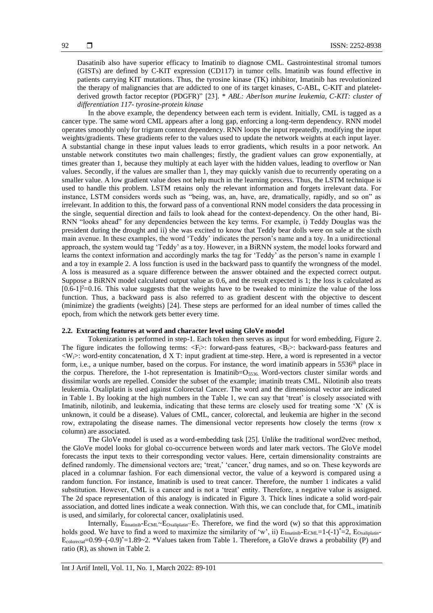Dasatinib also have superior efficacy to Imatinib to diagnose CML. Gastrointestinal stromal tumors (GISTs) are defined by C-KIT expression (CD117) in tumor cells. Imatinib was found effective in patients carrying KIT mutations. Thus, the tyrosine kinase (TK) inhibitor, Imatinib has revolutionized the therapy of malignancies that are addicted to one of its target kinases, C-ABL, C-KIT and plateletderived growth factor receptor (PDGFR)" [23]. \* *ABL: Aberlson murine leukemia, C-KIT: cluster of differentiation 117- tyrosine-protein kinase*

In the above example, the dependency between each term is evident. Initially, CML is tagged as a cancer type. The same word CML appears after a long gap, enforcing a long-term dependency. RNN model operates smoothly only for trigram context dependency. RNN loops the input repeatedly, modifying the input weights/gradients. These gradients refer to the values used to update the network weights at each input layer. A substantial change in these input values leads to error gradients, which results in a poor network. An unstable network constitutes two main challenges; firstly, the gradient values can grow exponentially, at times greater than 1, because they multiply at each layer with the hidden values, leading to overflow or Nan values. Secondly, if the values are smaller than 1, they may quickly vanish due to recurrently operating on a smaller value. A low gradient value does not help much in the learning process. Thus, the LSTM technique is used to handle this problem. LSTM retains only the relevant information and forgets irrelevant data. For instance, LSTM considers words such as "being, was, an, have, are, dramatically, rapidly, and so on" as irrelevant. In addition to this, the forward pass of a conventional RNN model considers the data processing in the single, sequential direction and fails to look ahead for the context-dependency. On the other hand, Bi-RNN "looks ahead" for any dependencies between the key terms. For example, i) Teddy Douglas was the president during the drought and ii) she was excited to know that Teddy bear dolls were on sale at the sixth main avenue. In these examples, the word 'Teddy' indicates the person's name and a toy. In a unidirectional approach, the system would tag 'Teddy' as a toy. However, in a BiRNN system, the model looks forward and learns the context information and accordingly marks the tag for 'Teddy' as the person's name in example 1 and a toy in example 2. A loss function is used in the backward pass to quantify the wrongness of the model. A loss is measured as a square difference between the answer obtained and the expected correct output. Suppose a BiRNN model calculated output value as 0.6, and the result expected is 1; the loss is calculated as  $[0.6-1]^2$ =0.16. This value suggests that the weights have to be tweaked to minimize the value of the loss function. Thus, a backward pass is also referred to as gradient descent with the objective to descent (minimize) the gradients (weights) [24]. These steps are performed for an ideal number of times called the epoch, from which the network gets better every time.

### **2.2. Extracting features at word and character level using GloVe model**

Tokenization is performed in step-1. Each token then serves as input for word embedding, Figure 2. The figure indicates the following terms:  $\langle F_i \rangle$ : forward-pass features,  $\langle B_i \rangle$ : backward-pass features and  $\langle W \rangle$ : word-entity concatenation, d X T: input gradient at time-step. Here, a word is represented in a vector form, i.e., a unique number, based on the corpus. For instance, the word imatinib appears in 5536<sup>th</sup> place in the corpus. Therefore, the 1-hot representation is Imatinib= $O_{5536}$ . Word-vectors cluster similar words and dissimilar words are repelled. Consider the subset of the example; imatinib treats CML. Nilotinib also treats leukemia. Oxaliplatin is used against Colorectal Cancer. The word and the dimensional vector are indicated in Table 1. By looking at the high numbers in the Table 1, we can say that 'treat' is closely associated with Imatinib, nilotinib, and leukemia, indicating that these terms are closely used for treating some 'X' (X is unknown, it could be a disease). Values of CML, cancer, colorectal, and leukemia are higher in the second row, extrapolating the disease names. The dimensional vector represents how closely the terms (row x column) are associated.

The GloVe model is used as a word-embedding task [25]. Unlike the traditional word2vec method, the GloVe model looks for global co-occurrence between words and later mark vectors. The GloVe model forecasts the input texts to their corresponding vector values. Here, certain dimensionality constraints are defined randomly. The dimensional vectors are; 'treat,' 'cancer,' drug names, and so on. These keywords are placed in a columnar fashion. For each dimensional vector, the value of a keyword is compared using a random function. For instance, Imatinib is used to treat cancer. Therefore, the number 1 indicates a valid substitution. However, CML is a cancer and is not a 'treat' entity. Therefore, a negative value is assigned. The 2d space representation of this analogy is indicated in Figure 3. Thick lines indicate a solid word-pair association, and dotted lines indicate a weak connection. With this, we can conclude that, for CML, imatinib is used, and similarly, for colorectal cancer, oxaliplatinis used.

Internally,  $E_{Imatinib}-E_{CML}-E_{Oxaliplatin}-E$ ?. Therefore, we find the word (w) so that this approximation holds good. We have to find a word to maximize the similarity of 'w', ii)  $E_{\text{Imatinib}}-E_{\text{CML}}=1-(-1)^*=2$ ,  $E_{\text{Oxaliplatin}} E_{colorecal}$ =0.99–(-0.9)\*=1.89~2. \*Values taken from Table 1. Therefore, a GloVe draws a probability (P) and ratio (R), as shown in Table 2.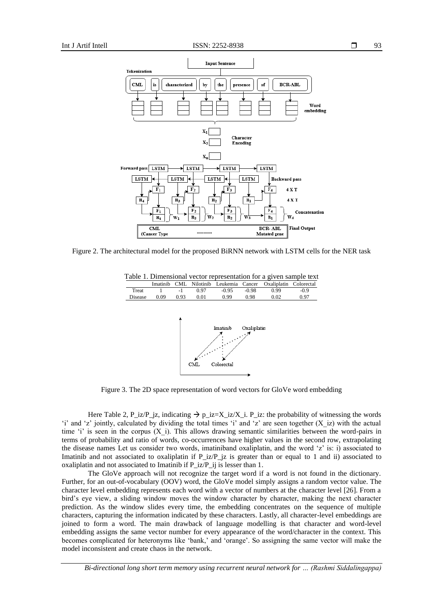

Figure 2. The architectural model for the proposed BiRNN network with LSTM cells for the NER task



Table 1. Dimensional vector representation for a given sample text

Figure 3. The 2D space representation of word vectors for GloVe word embedding

Here Table 2, P\_iz/P\_jz, indicating  $\rightarrow p_iz=X_iz/X_i$ . P\_iz: the probability of witnessing the words 'i' and 'z' jointly, calculated by dividing the total times 'i' and 'z' are seen together (X\_iz) with the actual time 'i' is seen in the corpus  $(X_i)$ . This allows drawing semantic similarities between the word-pairs in terms of probability and ratio of words, co-occurrences have higher values in the second row, extrapolating the disease names Let us consider two words, imatiniband oxaliplatin, and the word 'z' is: i) associated to Imatinib and not associated to oxaliplatin if P\_iz/P\_jz is greater than or equal to 1 and ii) associated to oxaliplatin and not associated to Imatinib if P\_iz/P\_ij is lesser than 1.

The GloVe approach will not recognize the target word if a word is not found in the dictionary. Further, for an out-of-vocabulary (OOV) word, the GloVe model simply assigns a random vector value. The character level embedding represents each word with a vector of numbers at the character level [26]. From a bird's eye view, a sliding window moves the window character by character, making the next character prediction. As the window slides every time, the embedding concentrates on the sequence of multiple characters, capturing the information indicated by these characters. Lastly, all character-level embeddings are joined to form a word. The main drawback of language modelling is that character and word-level embedding assigns the same vector number for every appearance of the word/character in the context. This becomes complicated for heteronyms like 'bank,' and 'orange'. So assigning the same vector will make the model inconsistent and create chaos in the network.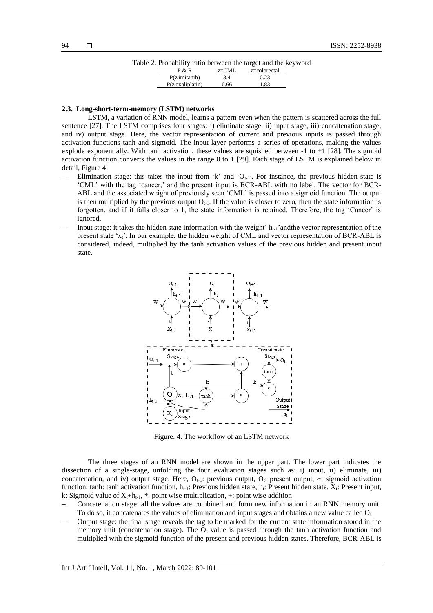| Table 2. Probability ratio between the target and the keyword |  |  |  |  |
|---------------------------------------------------------------|--|--|--|--|
|                                                               |  |  |  |  |

| 1100a0111t; ratio occuredii the target and the Re |           |              |  |
|---------------------------------------------------|-----------|--------------|--|
| P & R                                             | $z = CML$ | z=colorectal |  |
| P(z imitani b)                                    | 3.4       | 0.23         |  |
| P(z oxaliplation)                                 | 0.66      | 1.83         |  |

### **2.3. Long-short-term-memory (LSTM) networks**

LSTM, a variation of RNN model, learns a pattern even when the pattern is scattered across the full sentence [27]. The LSTM comprises four stages: i) eliminate stage, ii) input stage, iii) concatenation stage, and iv) output stage. Here, the vector representation of current and previous inputs is passed through activation functions tanh and sigmoid. The input layer performs a series of operations, making the values explode exponentially. With tanh activation, these values are squished between  $-1$  to  $+1$  [28]. The sigmoid activation function converts the values in the range 0 to 1 [29]. Each stage of LSTM is explained below in detail, Figure 4:

- − Elimination stage: this takes the input from 'k' and 'Ot-1'. For instance, the previous hidden state is 'CML' with the tag 'cancer,' and the present input is BCR-ABL with no label. The vector for BCR-ABL and the associated weight of previously seen 'CML' is passed into a sigmoid function. The output is then multiplied by the previous output  $O_{t-1}$ . If the value is closer to zero, then the state information is forgotten, and if it falls closer to 1, the state information is retained. Therefore, the tag 'Cancer' is ignored.
- Input stage: it takes the hidden state information with the weight ' $h_{t-1}$ 'andthe vector representation of the present state 'x<sub>t</sub>'. In our example, the hidden weight of CML and vector representation of BCR-ABL is considered, indeed, multiplied by the tanh activation values of the previous hidden and present input state.



Figure. 4. The workflow of an LSTM network

The three stages of an RNN model are shown in the upper part. The lower part indicates the dissection of a single-stage, unfolding the four evaluation stages such as: i) input, ii) eliminate, iii) concatenation, and iv) output stage. Here,  $O_{t-1}$ : previous output,  $O_t$ : present output, σ: sigmoid activation function, tanh: tanh activation function,  $h_{t-1}$ : Previous hidden state,  $h_t$ : Present hidden state,  $X_t$ : Present input, k: Sigmoid value of  $X_t$ +h<sub>t-1</sub>, \*: point wise multiplication, +: point wise addition

- − Concatenation stage: all the values are combined and form new information in an RNN memory unit. To do so, it concatenates the values of elimination and input stages and obtains a new value called  $O<sub>t</sub>$
- − Output stage: the final stage reveals the tag to be marked for the current state information stored in the memory unit (concatenation stage). The  $\overline{O}_t$  value is passed through the tanh activation function and multiplied with the sigmoid function of the present and previous hidden states. Therefore, BCR-ABL is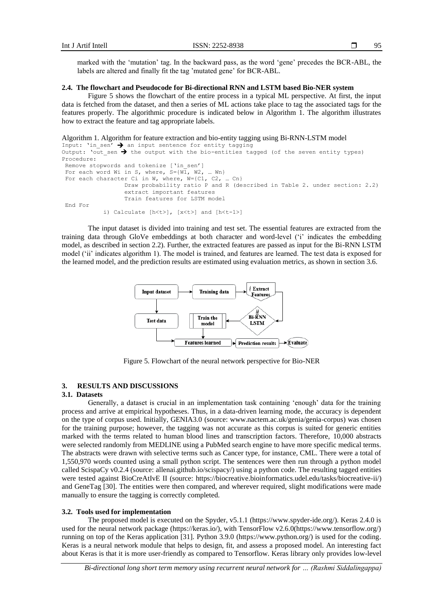marked with the 'mutation' tag. In the backward pass, as the word 'gene' precedes the BCR-ABL, the labels are altered and finally fit the tag 'mutated gene' for BCR-ABL.

#### **2.4. The flowchart and Pseudocode for Bi-directional RNN and LSTM based Bio-NER system**

Figure 5 shows the flowchart of the entire process in a typical ML perspective. At first, the input data is fetched from the dataset, and then a series of ML actions take place to tag the associated tags for the features properly. The algorithmic procedure is indicated below in Algorithm 1. The algorithm illustrates how to extract the feature and tag appropriate labels.

```
Algorithm 1. Algorithm for feature extraction and bio-entity tagging using Bi-RNN-LSTM model
Input: 'in sen' \rightarrow an input sentence for entity tagging
Output: 'out_sen \rightarrow the output with the bio-entities tagged (of the seven entity types)
Procedure:
Remove stopwords and tokenize ['in sen']
For each word Wi in S, where, S=[W1, W2, ... Wn]For each character Ci in W, where, W=[C1, C2, ... Cn]Draw probability ratio P and R (described in Table 2. under section: 2.2)
                   extract important features
                   Train features for LSTM model
7. End For
            i) Calculate [h<t>], [x<t>] and [h<t-1>]
```
The input dataset is divided into training and test set. The essential features are extracted from the training data through GloVe embeddings at both character and word-level ('i' indicates the embedding model, as described in section 2.2). Further, the extracted features are passed as input for the Bi-RNN LSTM model ('ii' indicates algorithm 1). The model is trained, and features are learned. The test data is exposed for the learned model, and the prediction results are estimated using evaluation metrics, as shown in section 3.6.



Figure 5. Flowchart of the neural network perspective for Bio-NER

# **3. RESULTS AND DISCUSSIONS**

#### **3.1. Datasets**

Generally, a dataset is crucial in an implementation task containing 'enough' data for the training process and arrive at empirical hypotheses. Thus, in a data-driven learning mode, the accuracy is dependent on the type of corpus used. Initially, GENIA3.0 (source: www.nactem.ac.uk/genia/genia-corpus) was chosen for the training purpose; however, the tagging was not accurate as this corpus is suited for generic entities marked with the terms related to human blood lines and transcription factors. Therefore, 10,000 abstracts were selected randomly from MEDLINE using a PubMed search engine to have more specific medical terms. The abstracts were drawn with selective terms such as Cancer type, for instance, CML. There were a total of 1,550,970 words counted using a small python script. The sentences were then run through a python model called ScispaCy v0.2.4 (source: allenai.github.io/scispacy/) using a python code. The resulting tagged entities were tested against BioCreAtIvE II (source: https://biocreative.bioinformatics.udel.edu/tasks/biocreative-ii/) and GeneTag [30]. The entities were then compared, and wherever required, slight modifications were made manually to ensure the tagging is correctly completed.

#### **3.2. Tools used for implementation**

The proposed model is executed on the Spyder, v5.1.1 (https://www.spyder-ide.org/). Keras 2.4.0 is used for the neural network package (https://keras.io/), with TensorFlow v2.6.0(https://www.tensorflow.org/) running on top of the Keras application [31]. Python 3.9.0 (https://www.python.org/) is used for the coding. Keras is a neural network module that helps to design, fit, and assess a proposed model. An interesting fact about Keras is that it is more user-friendly as compared to Tensorflow. Keras library only provides low-level

 $\Box$ 

95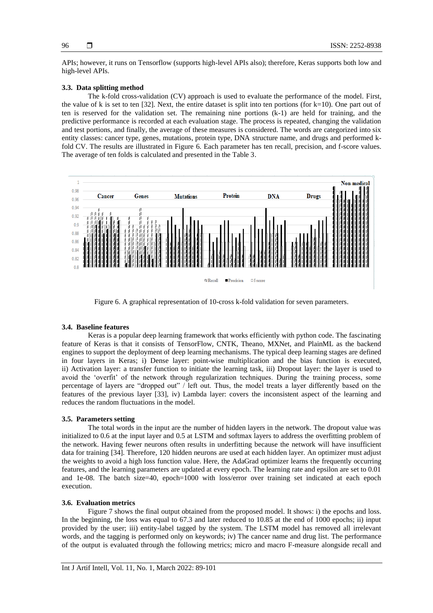APIs; however, it runs on Tensorflow (supports high-level APIs also); therefore, Keras supports both low and high-level APIs.

### **3.3. Data splitting method**

The k-fold cross-validation (CV) approach is used to evaluate the performance of the model. First, the value of k is set to ten  $[32]$ . Next, the entire dataset is split into ten portions (for  $k=10$ ). One part out of ten is reserved for the validation set. The remaining nine portions (k-1) are held for training, and the predictive performance is recorded at each evaluation stage. The process is repeated, changing the validation and test portions, and finally, the average of these measures is considered. The words are categorized into six entity classes: cancer type, genes, mutations, protein type, DNA structure name, and drugs and performed kfold CV. The results are illustrated in Figure 6. Each parameter has ten recall, precision, and f-score values. The average of ten folds is calculated and presented in the Table 3.



Figure 6. A graphical representation of 10-cross k-fold validation for seven parameters.

#### **3.4. Baseline features**

Keras is a popular deep learning framework that works efficiently with python code. The fascinating feature of Keras is that it consists of TensorFlow, CNTK, Theano, MXNet, and PlainML as the backend engines to support the deployment of deep learning mechanisms. The typical deep learning stages are defined in four layers in Keras; i) Dense layer: point-wise multiplication and the bias function is executed, ii) Activation layer: a transfer function to initiate the learning task, iii) Dropout layer: the layer is used to avoid the 'overfit' of the network through regularization techniques. During the training process, some percentage of layers are "dropped out" / left out. Thus, the model treats a layer differently based on the features of the previous layer [33], iv) Lambda layer: covers the inconsistent aspect of the learning and reduces the random fluctuations in the model.

# **3.5. Parameters setting**

The total words in the input are the number of hidden layers in the network. The dropout value was initialized to 0.6 at the input layer and 0.5 at LSTM and softmax layers to address the overfitting problem of the network. Having fewer neurons often results in underfitting because the network will have insufficient data for training [34]. Therefore, 120 hidden neurons are used at each hidden layer. An optimizer must adjust the weights to avoid a high loss function value. Here, the AdaGrad optimizer learns the frequently occurring features, and the learning parameters are updated at every epoch. The learning rate and epsilon are set to 0.01 and 1e-08. The batch size=40, epoch=1000 with loss/error over training set indicated at each epoch execution.

#### **3.6. Evaluation metrics**

Figure 7 shows the final output obtained from the proposed model. It shows: i) the epochs and loss. In the beginning, the loss was equal to 67.3 and later reduced to 10.85 at the end of 1000 epochs; ii) input provided by the user; iii) entity-label tagged by the system. The LSTM model has removed all irrelevant words, and the tagging is performed only on keywords; iv) The cancer name and drug list. The performance of the output is evaluated through the following metrics; micro and macro F-measure alongside recall and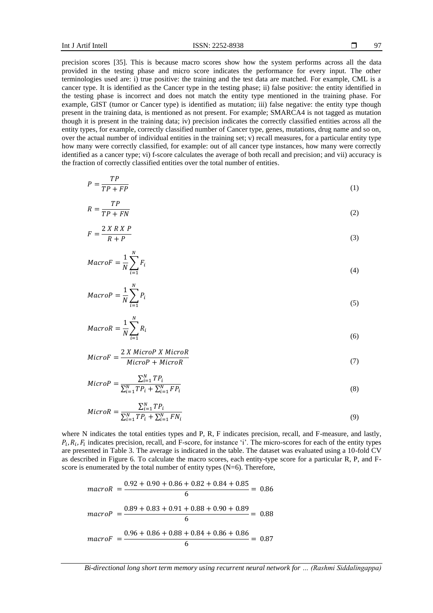$\sim$   $\sim$ 

precision scores [35]. This is because macro scores show how the system performs across all the data provided in the testing phase and micro score indicates the performance for every input. The other terminologies used are: i) true positive: the training and the test data are matched. For example, CML is a cancer type. It is identified as the Cancer type in the testing phase; ii) false positive: the entity identified in the testing phase is incorrect and does not match the entity type mentioned in the training phase. For example, GIST (tumor or Cancer type) is identified as mutation; iii) false negative: the entity type though present in the training data, is mentioned as not present. For example; SMARCA4 is not tagged as mutation though it is present in the training data; iv) precision indicates the correctly classified entities across all the entity types, for example, correctly classified number of Cancer type, genes, mutations, drug name and so on, over the actual number of individual entities in the training set; v) recall measures, for a particular entity type how many were correctly classified, for example: out of all cancer type instances, how many were correctly identified as a cancer type; vi) f-score calculates the average of both recall and precision; and vii) accuracy is the fraction of correctly classified entities over the total number of entities.

$$
P = \frac{TP}{TP + FP} \tag{1}
$$

$$
R = \frac{TP}{TP + FN} \tag{2}
$$

$$
F = \frac{2 X R X P}{R + P} \tag{3}
$$

$$
MacroF = \frac{1}{N} \sum_{i=1}^{N} F_i
$$
\n<sup>(4)</sup>

$$
MacroP = \frac{1}{N} \sum_{i=1}^{N} P_i
$$
\n<sup>(5)</sup>

$$
MacroR = \frac{1}{N} \sum_{i=1}^{N} R_i
$$
\n<sup>(6)</sup>

$$
MicroF = \frac{2 X MicroP X MicroR}{MicroP + MicroR}
$$
\n(7)

$$
MicroP = \frac{\sum_{i=1}^{N} TP_i}{\sum_{i=1}^{N} TP_i + \sum_{i=1}^{N} FP_i}
$$
\n(8)

$$
MicroR = \frac{\sum_{i=1}^{N} TP_i}{\sum_{i=1}^{N} TP_i + \sum_{i=1}^{N} FN_i}
$$
\n(9)

where N indicates the total entities types and P, R, F indicates precision, recall, and F-measure, and lastly,  $P_i, R_i, F_i$  indicates precision, recall, and F-score, for instance 'i'. The micro-scores for each of the entity types are presented in Table 3. The average is indicated in the table. The dataset was evaluated using a 10-fold CV as described in Figure 6. To calculate the macro scores, each entity-type score for a particular R, P, and Fscore is enumerated by the total number of entity types  $(N=6)$ . Therefore,

 $maxorR = \frac{0.92 + 0.90 + 0.86 + 0.82 + 0.84 + 0.85}{6}$  $\frac{1}{6}$  = 0.86  $macroP = \frac{0.89 + 0.83 + 0.91 + 0.88 + 0.90 + 0.89}{6}$  $\frac{1}{6}$  = 0.88  $macroF = \frac{0.96 + 0.86 + 0.88 + 0.84 + 0.86 + 0.86}{6}$  $\frac{6.651 + 6.66 + 6.66}{6} = 0.87$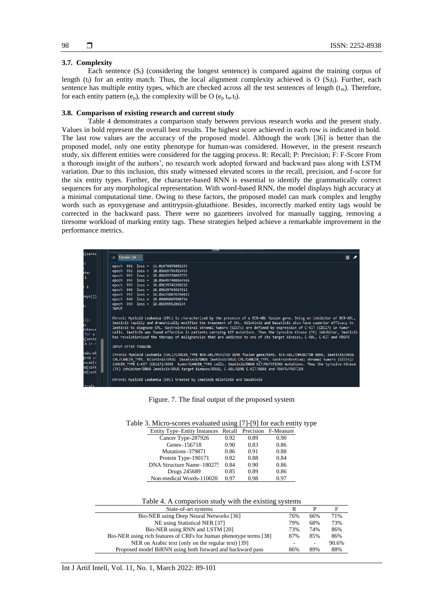#### **3.7. Complexity**

Each sentence  $(S_i)$  (considering the longest sentence) is compared against the training corpus of length (t<sub>i</sub>) for an entity match. Thus, the local alignment complexity achieved is O ( $S<sub>i</sub>t<sub>i</sub>$ ). Further, each sentence has multiple entity types, which are checked across all the test sentences of length  $(t_m)$ . Therefore, for each entity pattern  $(e_p)$ , the complexity will be O  $(e_p t_m t_l)$ .

#### **3.8. Comparison of existing research and current study**

Table 4 demonstrates a comparison study between previous research works and the present study. Values in bold represent the overall best results. The highest score achieved in each row is indicated in bold. The last row values are the accuracy of the proposed model. Although the work [36] is better than the proposed model, only one entity phenotype for human-was considered. However, in the present research study, six different entities were considered for the tagging process. R: Recall; P: Precision; F: F-Score From a thorough insight of the authors', no research work adopted forward and backward pass along with LSTM variation. Due to this inclusion, this study witnessed elevated scores in the recall, precision, and f-score for the six entity types. Further, the character-based RNN is essential to identify the grammatically correct sequences for any morphological representation. With word-based RNN, the model displays high accuracy at a minimal computational time. Owing to these factors, the proposed model can mark complex and lengthy words such as epoxygenase and antitrypsin-glutathione. Besides, incorrectly marked entity tags would be corrected in the backward pass. There were no gazetteers involved for manually tagging, removing a tiresome workload of marking entity tags. These strategies helped achieve a remarkable improvement in the performance metrics.

| g(sente                                             | Console 1/A                                                                                                                                                                                                                                                                                                                                                                                                                                                                                                                                                                                                                                                      |
|-----------------------------------------------------|------------------------------------------------------------------------------------------------------------------------------------------------------------------------------------------------------------------------------------------------------------------------------------------------------------------------------------------------------------------------------------------------------------------------------------------------------------------------------------------------------------------------------------------------------------------------------------------------------------------------------------------------------------------|
| š÷.<br>ata:<br>1<br>$-1$                            | epoch 991 loss = 11.01679855081153<br>epoch 992 loss = 10.85669796415459<br>epoch 993 loss = 10.85659758097773<br>epoch 994 loss = 10.856497400664566<br>epoch 995 loss = 10.85639742260118                                                                                                                                                                                                                                                                                                                                                                                                                                                                      |
| keys())                                             | epoch 996 loss = 10.85629764617612<br>epoch 997 loss = 10.856198070780415<br>epoch 998 loss = 10.85609869580754<br>epoch 999 loss = 10.8559995206534<br><b>INPUT</b>                                                                                                                                                                                                                                                                                                                                                                                                                                                                                             |
| ;)):<br>entence<br>for x<br>o[sent∈<br>$x$ in $r$   | Chronic Myeloid Leukemia (CML) is characterized by the presence of a BCR-ABL fusion gene. Being an inhibitor of BCR-ABL,<br>Imatinib rapidly and dramatically modified the treatment of CML. Nilotinib and Dasatinib also have superior efficacy to<br>Imatinib to diagnose CML. Gastrointestinal stromal tumors (GISTs) are defined by expression of C-KIT (CD117) in tumor<br>cells. Imatinib was found effective in patients carrying KIT mutations. Thus the tyrosine Kinase (TK) inhibitor, Imatinib<br>has revolutionized the therapy of malignancies that are addicted to one of its target kinases, C-ABL, C-KIT and PDGFR<br><b>INPUT AFTER TAGGING</b> |
| w2v.wi<br>i>=0 an<br>/ocab[s<br>nd(cent<br>nd (cont | Chronic Myeloid Leukemia (CML)/CANCER TYPE BCR-ABL/MUTATED GENE fusion gene/GENE. BCR-ABL/INHIBITOR GENE, Imatinib/DRUG<br>CML/CANCER TYPE. Nilotinib/DRUG Dasatinib/DRUG Imatinib/DRUG CML/CANCER TYPE. Gastrointestinal stromal tumors (GISTs)/<br>CANCER TYPE C-KIT (CD117)/GENE tumor/CANCER TYPE cells. Imatinib/DRUG KIT/MUTATIONS mutations. Thus the tyrosine Kinase<br>(TK) inhibitor/DRUG Imatinib/DRUG target kinases/DRUG, C-ABL/GENE C-KIT/GENE and PDGFR/PROTIEN                                                                                                                                                                                   |
| train                                               | Chronic Myeloid Leukemia (CML) treated by Imatinib Nilotinib and Dasatinib                                                                                                                                                                                                                                                                                                                                                                                                                                                                                                                                                                                       |

Figure. 7. The final output of the proposed system

| Entity Type-Entity Instances Recall Precision F-Measure |      |      |      |
|---------------------------------------------------------|------|------|------|
| Cancer Type-287926                                      | 0.92 | 0.89 | 0.90 |
| Genes-156718                                            | 0.90 | 0.83 | 0.86 |
| Mutations-379871                                        | 0.86 | 0.91 | 0.88 |
| Protein Type-190171                                     | 0.82 | 0.88 | 0.84 |
| DNA Structure Name-180275                               | 0.84 | 0.90 | 0.86 |
| Drugs 245689                                            | 0.85 | 0.89 | 0.86 |
| Non-medical Words-110020                                | 0.97 | 0.98 | 0.97 |

Table 3. Micro-scores evaluated using [7]-[9] for each entity type

#### Table 4. A comparison study with the existing systems

| State-of-art systems                                               |     |     | F     |
|--------------------------------------------------------------------|-----|-----|-------|
| Bio-NER using Deep Neural Networks [36]                            | 76% | 66% | 71%   |
| NE using Statistical NER [37]                                      | 79% | 68% | 73%   |
| Bio-NER using RNN and LSTM [20]                                    | 73% | 74% | 86%   |
| Bio-NER using rich features of CRFs for human phenotype terms [38] | 87% | 85% | 86%   |
| NER on Arabic text (only on the regular text) [39]                 |     | -   | 90.6% |
| Proposed model BiRNN using both forward and backward pass          | 86% | 89% | 88%   |
|                                                                    |     |     |       |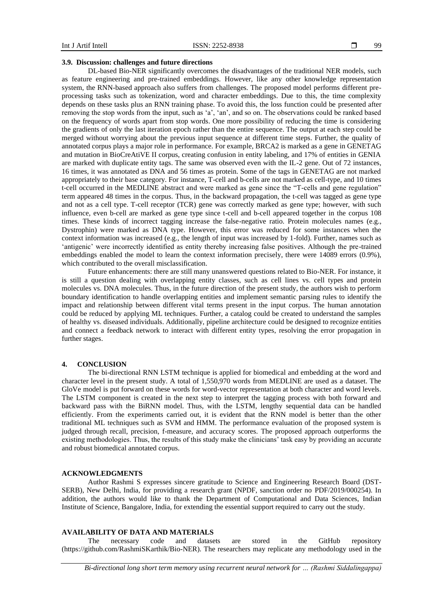#### **3.9. Discussion: challenges and future directions**

DL-based Bio-NER significantly overcomes the disadvantages of the traditional NER models, such as feature engineering and pre-trained embeddings. However, like any other knowledge representation system, the RNN-based approach also suffers from challenges. The proposed model performs different preprocessing tasks such as tokenization, word and character embeddings. Due to this, the time complexity depends on these tasks plus an RNN training phase. To avoid this, the loss function could be presented after removing the stop words from the input, such as 'a', 'an', and so on. The observations could be ranked based on the frequency of words apart from stop words. One more possibility of reducing the time is considering the gradients of only the last iteration epoch rather than the entire sequence. The output at each step could be merged without worrying about the previous input sequence at different time steps. Further, the quality of annotated corpus plays a major role in performance. For example, BRCA2 is marked as a gene in GENETAG and mutation in BioCreAtiVE II corpus, creating confusion in entity labeling, and 17% of entities in GENIA are marked with duplicate entity tags. The same was observed even with the IL-2 gene. Out of 72 instances, 16 times, it was annotated as DNA and 56 times as protein. Some of the tags in GENETAG are not marked appropriately to their base category. For instance, T-cell and b-cells are not marked as cell-type, and 10 times t-cell occurred in the MEDLINE abstract and were marked as gene since the "T-cells and gene regulation" term appeared 48 times in the corpus. Thus, in the backward propagation, the t-cell was tagged as gene type and not as a cell type. T-cell receptor (TCR) gene was correctly marked as gene type; however, with such influence, even b-cell are marked as gene type since t-cell and b-cell appeared together in the corpus 108 times. These kinds of incorrect tagging increase the false-negative ratio. Protein molecules names (e.g., Dystrophin) were marked as DNA type. However, this error was reduced for some instances when the context information was increased (e.g., the length of input was increased by 1-fold). Further, names such as 'antigenic' were incorrectly identified as entity thereby increasing false positives. Although the pre-trained embeddings enabled the model to learn the context information precisely, there were 14089 errors (0.9%), which contributed to the overall misclassification.

Future enhancements: there are still many unanswered questions related to Bio-NER. For instance, it is still a question dealing with overlapping entity classes, such as cell lines vs. cell types and protein molecules vs. DNA molecules. Thus, in the future direction of the present study, the authors wish to perform boundary identification to handle overlapping entities and implement semantic parsing rules to identify the impact and relationship between different vital terms present in the input corpus. The human annotation could be reduced by applying ML techniques. Further, a catalog could be created to understand the samples of healthy vs. diseased individuals. Additionally, pipeline architecture could be designed to recognize entities and connect a feedback network to interact with different entity types, resolving the error propagation in further stages.

### **4. CONCLUSION**

The bi-directional RNN LSTM technique is applied for biomedical and embedding at the word and character level in the present study. A total of 1,550,970 words from MEDLINE are used as a dataset. The GloVe model is put forward on these words for word-vector representation at both character and word levels. The LSTM component is created in the next step to interpret the tagging process with both forward and backward pass with the BiRNN model. Thus, with the LSTM, lengthy sequential data can be handled efficiently. From the experiments carried out, it is evident that the RNN model is better than the other traditional ML techniques such as SVM and HMM. The performance evaluation of the proposed system is judged through recall, precision, f-measure, and accuracy scores. The proposed approach outperforms the existing methodologies. Thus, the results of this study make the clinicians' task easy by providing an accurate and robust biomedical annotated corpus.

#### **ACKNOWLEDGMENTS**

Author Rashmi S expresses sincere gratitude to Science and Engineering Research Board (DST-SERB), New Delhi, India, for providing a research grant (NPDF, sanction order no PDF/2019/000254). In addition, the authors would like to thank the Department of Computational and Data Sciences, Indian Institute of Science, Bangalore, India, for extending the essential support required to carry out the study.

#### **AVAILABILITY OF DATA AND MATERIALS**

The necessary code and datasets are stored in the GitHub repository (https://github.com/RashmiSKarthik/Bio-NER). The researchers may replicate any methodology used in the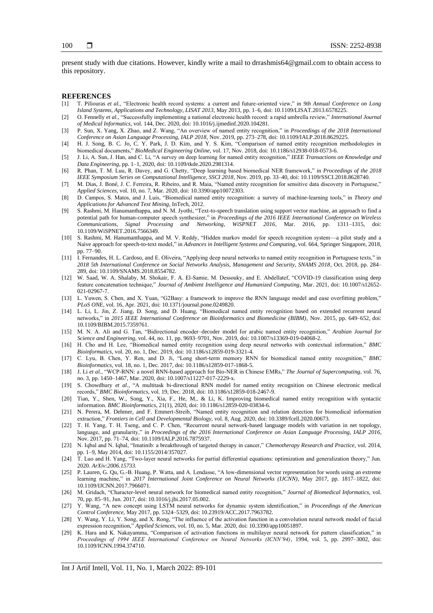present study with due citations. However, kindly write a mail to drrashmis64@gmail.com to obtain access to this repository.

#### **REFERENCES**

- [1] T. Piliouras *et al.*, "Electronic health record systems: a current and future-oriented view," in *9th Annual Conference on Long Island Systems, Applications and Technology, LISAT 2013*, May 2013, pp. 1–6, doi: 10.1109/LISAT.2013.6578225.
- [2] O. Fennelly *et al.*, "Successfully implementing a national electronic health record: a rapid umbrella review," *International Journal of Medical Informatics*, vol. 144, Dec. 2020, doi: 10.1016/j.ijmedinf.2020.104281.
- [3] P. Sun, X. Yang, X. Zhao, and Z. Wang, "An overview of named entity recognition," in *Proceedings of the 2018 International Conference on Asian Language Processing, IALP 2018*, Nov. 2019, pp. 273–278, doi: 10.1109/IALP.2018.8629225.
- [4] H. J. Song, B. C. Jo, C. Y. Park, J. D. Kim, and Y. S. Kim, "Comparison of named entity recognition methodologies in biomedical documents," *BioMedical Engineering Online*, vol. 17, Nov. 2018, doi: 10.1186/s12938-018-0573-6.
- [5] J. Li, A. Sun, J. Han, and C. Li, "A survey on deep learning for named entity recognition," *IEEE Transactions on Knowledge and Data Engineering*, pp. 1–1, 2020, doi: 10.1109/tkde.2020.2981314.
- [6] R. Phan, T. M. Luu, R. Davey, and G. Chetty, "Deep learning based biomedical NER framework," in *Proceedings of the 2018 IEEE Symposium Series on Computational Intelligence, SSCI 2018*, Nov. 2019, pp. 33–40, doi: 10.1109/SSCI.2018.8628740.
- [7] M. Dias, J. Boné, J. C. Ferreira, R. Ribeiro, and R. Maia, "Named entity recognition for sensitive data discovery in Portuguese," *Applied Sciences*, vol. 10, no. 7, Mar. 2020, doi: 10.3390/app10072303.
- [8] D. Campos, S. Matos, and J. Luis, "Biomedical named entity recognition: a survey of machine-learning tools," in *Theory and Applications for Advanced Text Mining*, InTech, 2012.
- [9] S. Rashmi, M. Hanumanthappa, and N. M. Jyothi, "Text-to-speech translation using support vector machine, an approach to find a potential path for human-computer speech synthesizer," in *Proceedings of the 2016 IEEE International Conference on Wireless Communications, Signal Processing and Networking, WiSPNET 2016*, Mar. 2016, pp. 1311–1315, doi: 10.1109/WiSPNET.2016.7566349.
- [10] S. Rashmi, M. Hanumanthappa, and M. V. Reddy, "Hidden markov model for speech recognition system—a pilot study and a Naive approach for speech-to-text model," in *Advances in Intelligent Systems and Computing*, vol. 664, Springer Singapore, 2018, pp. 77–90.
- [11] I. Fernandes, H. L. Cardoso, and E. Oliveira, "Applying deep neural networks to named entity recognition in Portuguese texts," in *2018 5th International Conference on Social Networks Analysis, Management and Security, SNAMS 2018*, Oct. 2018, pp. 284– 289, doi: 10.1109/SNAMS.2018.8554782.
- [12] W. Saad, W. A. Shalaby, M. Shokair, F. A. El-Samie, M. Dessouky, and E. Abdellatef, "COVID-19 classification using deep feature concatenation technique," *Journal of Ambient Intelligence and Humanized Computing*, Mar. 2021, doi: 10.1007/s12652- 021-02967-7.
- [13] L. Yuwen, S. Chen, and X. Yuan, "G2Basy: a framework to improve the RNN language model and ease overfitting problem," *PLoS ONE*, vol. 16, Apr. 2021, doi: 10.1371/journal.pone.0249820.
- [14] L. Li, L. Jin, Z. Jiang, D. Song, and D. Huang, "Biomedical named entity recognition based on extended recurrent neural networks," in *2015 IEEE International Conference on Bioinformatics and Biomedicine (BIBM)*, Nov. 2015, pp. 649–652, doi: 10.1109/BIBM.2015.7359761.
- [15] M. N. A. Ali and G. Tan, "Bidirectional encoder–decoder model for arabic named entity recognition," *Arabian Journal for Science and Engineering*, vol. 44, no. 11, pp. 9693–9701, Nov. 2019, doi: 10.1007/s13369-019-04068-2.
- [16] H. Cho and H. Lee, "Biomedical named entity recognition using deep neural networks with contextual information," *BMC Bioinformatics*, vol. 20, no. 1, Dec. 2019, doi: 10.1186/s12859-019-3321-4.
- [17] C. Lyu, B. Chen, Y. Ren, and D. Ji, "Long short-term memory RNN for biomedical named entity recognition," *BMC Bioinformatics*, vol. 18, no. 1, Dec. 2017, doi: 10.1186/s12859-017-1868-5.
- [18] J. Li *et al.*, "WCP-RNN: a novel RNN-based approach for Bio-NER in Chinese EMRs," *The Journal of Supercomputing*, vol. 76, no. 3, pp. 1450–1467, Mar. 2020, doi: 10.1007/s11227-017-2229-x.
- [19] S. Chowdhury *et al.*, "A multitask bi-directional RNN model for named entity recognition on Chinese electronic medical records," *BMC Bioinformatics*, vol. 19, Dec. 2018, doi: 10.1186/s12859-018-2467-9.
- [20] Tian, Y., Shen, W., Song, Y., Xia, F., He, M., & Li, K. Improving biomedical named entity recognition with syntactic information. *BMC Bioinformatics*, 21(1), 2020, doi: 10.1186/s12859-020-03834-6.
- [21] N. Perera, M. Dehmer, and F. Emmert-Streib, "Named entity recognition and relation detection for biomedical information extraction," *Frontiers in Cell and Developmental Biology*, vol. 8, Aug. 2020, doi: 10.3389/fcell.2020.00673.
- [22] T. H. Yang, T. H. Tseng, and C. P. Chen, "Recurrent neural network-based language models with variation in net topology, language, and granularity," in *Proceedings of the 2016 International Conference on Asian Language Processing, IALP 2016*, Nov. 2017, pp. 71–74, doi: 10.1109/IALP.2016.7875937.
- [23] N. Iqbal and N. Iqbal, "Imatinib: a breakthrough of targeted therapy in cancer," *Chemotherapy Research and Practice*, vol. 2014, pp. 1–9, May 2014, doi: 10.1155/2014/357027.
- [24] T. Luo and H. Yang, "Two-layer neural networks for partial differential equations: optimization and generalization theory," Jun. 2020. *ArXiv:2006.15733.*
- [25] P. Lauren, G. Qu, G.-B. Huang, P. Watta, and A. Lendasse, "A low-dimensional vector representation for words using an extreme learning machine," in *2017 International Joint Conference on Neural Networks (IJCNN)*, May 2017, pp. 1817–1822, doi: 10.1109/IJCNN.2017.7966071.
- [26] M. Gridach, "Character-level neural network for biomedical named entity recognition," *Journal of Biomedical Informatics*, vol. 70, pp. 85–91, Jun. 2017, doi: 10.1016/j.jbi.2017.05.002.
- [27] Y. Wang, "A new concept using LSTM neural networks for dynamic system identification," in *Proceedings of the American Control Conference*, May 2017, pp. 5324–5329, doi: 10.23919/ACC.2017.7963782.
- [28] Y. Wang, Y. Li, Y. Song, and X. Rong, "The influence of the activation function in a convolution neural network model of facial expression recognition," *Applied Sciences*, vol. 10, no. 5, Mar. 2020, doi: 10.3390/app10051897.
- [29] K. Hara and K. Nakayamma, "Comparison of activation functions in multilayer neural network for pattern classification," in *Proceedings of 1994 IEEE International Conference on Neural Networks (ICNN'94)*, 1994, vol. 5, pp. 2997–3002, doi: 10.1109/ICNN.1994.374710.